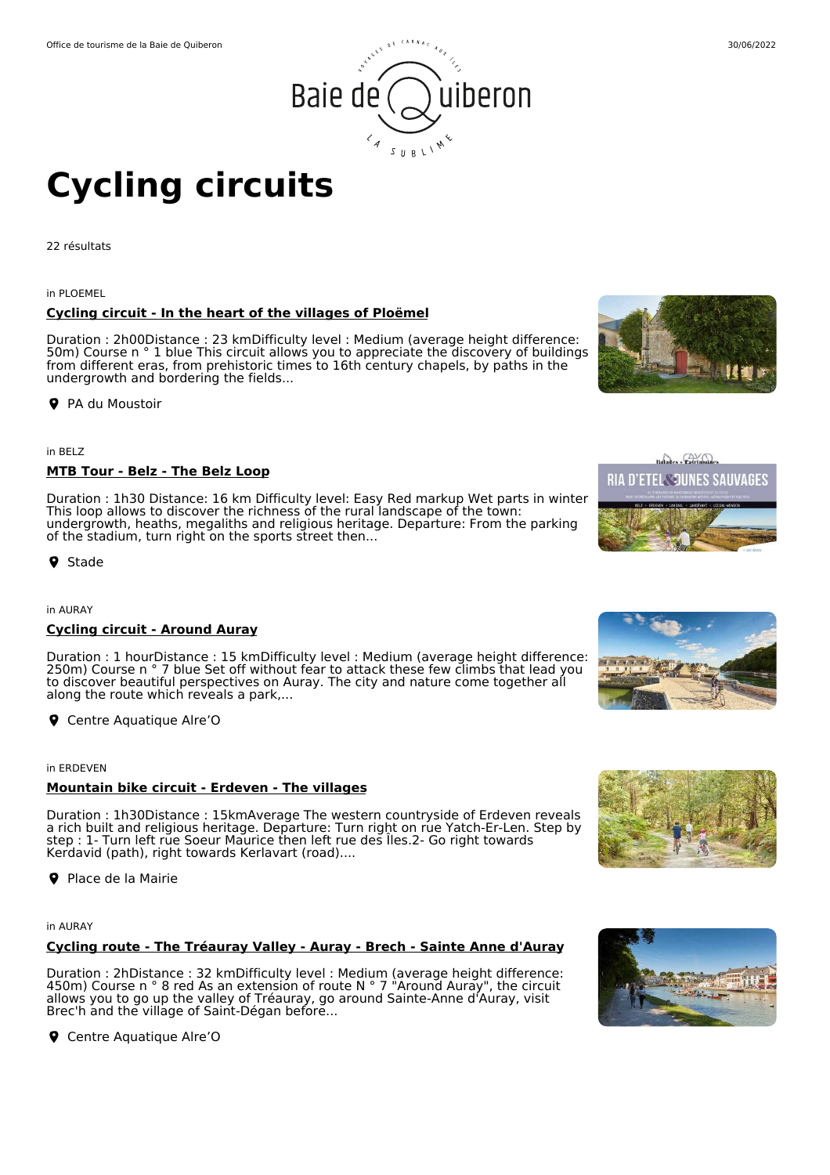



# **Cycling circuits**

22 résultats

in PLOEMEL

# **Cycling circuit - In the heart of the villages of Ploëmel**

Duration : 2h00Distance : 23 kmDifficulty level : Medium (average height difference: 50m) Course n ° 1 blue This circuit allows you to appreciate the discovery of buildings from different eras, from prehistoric times to 16th century chapels, by paths in the undergrowth and bordering the fields...

**P** PA du Moustoir

in BELZ

# **MTB Tour - Belz - The Belz Loop**

Duration : 1h30 Distance: 16 km Difficulty level: Easy Red markup Wet parts in winter This loop allows to discover the richness of the rural landscape of the town: undergrowth, heaths, megaliths and religious heritage. Departure: From the parking of the stadium, turn right on the sports street then...

**9** Stade

in AURAY

# **Cycling circuit - Around Auray**

Duration : 1 hourDistance : 15 kmDifficulty level : Medium (average height difference: 250m) Course n ° 7 blue Set off without fear to attack these few climbs that lead you to discover beautiful perspectives on Auray. The city and nature come together all along the route which reveals a park,...

**Q** Centre Aquatique Alre'O

in ERDEVEN

# **Mountain bike circuit - Erdeven - The villages**

Duration : 1h30Distance : 15kmAverage The western countryside of Erdeven reveals a rich built and religious heritage. Departure: Turn right on rue Yatch-Er-Len. Step by step : 1- Turn left rue Soeur Maurice then left rue des Îles.2- Go right towards Kerdavid (path), right towards Kerlavart (road)....

**P** Place de la Mairie

in AURAY

# **Cycling route - The Tréauray Valley - Auray - Brech - Sainte Anne d'Auray**

Duration : 2hDistance : 32 kmDifficulty level : Medium (average height difference: 450m) Course n  $\degree$  8 red As an extension of route N  $\degree$  7 "Around Auray", the circuit allows you to go up the valley of Tréauray, go around Sainte-Anne d'Auray, visit Brec'h and the village of Saint-Dégan before...

**Q** Centre Aquatique Alre'O









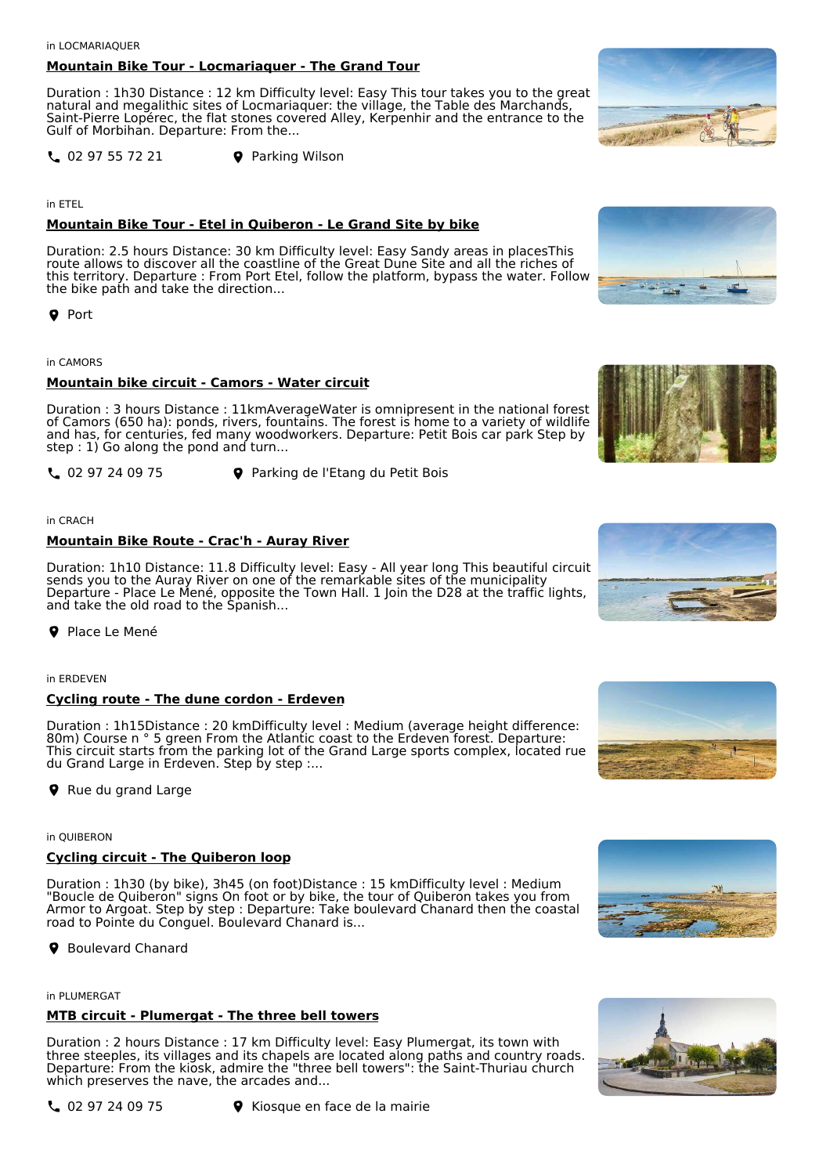in LOCMARIAQUER

# **Mountain Bike Tour - Locmariaquer - The Grand Tour**

Duration : 1h30 Distance : 12 km Difficulty level: Easy This tour takes you to the great natural and megalithic sites of Locmariaquer: the village, the Table des Marchands, Saint-Pierre Lopérec, the flat stones covered Alley, Kerpenhir and the entrance to the Gulf of Morbihan. Departure: From the...

**L** 02 97 55 72 21 **P** Parking Wilson

in ETEL

# **Mountain Bike Tour - Etel in Quiberon - Le Grand Site by bike**

Duration: 2.5 hours Distance: 30 km Difficulty level: Easy Sandy areas in placesThis route allows to discover all the coastline of the Great Dune Site and all the riches of this territory. Departure : From Port Etel, follow the platform, bypass the water. Follow the bike path and take the direction...

**Q** Port

## in CAMORS

## **Mountain bike circuit - Camors - Water circuit**

Duration : 3 hours Distance : 11kmAverageWater is omnipresent in the national forest of Camors (650 ha): ponds, rivers, fountains. The forest is home to a variety of wildlife and has, for centuries, fed many woodworkers. Departure: Petit Bois car park Step by step : 1) Go along the pond and turn...

02 97 24 09 75 Parking de l'Etang du Petit Bois

## in CRACH

## **Mountain Bike Route - Crac'h - Auray River**

Duration: 1h10 Distance: 11.8 Difficulty level: Easy - All year long This beautiful circuit sends you to the Auray River on one of the remarkable sites of the municipality Departure - Place Le Mené, opposite the Town Hall. 1 Join the D28 at the traffic lights, and take the old road to the Spanish...

**P** Place Le Mené

in ERDEVEN

## **Cycling route - The dune cordon - Erdeven**

Duration : 1h15Distance : 20 kmDifficulty level : Medium (average height difference: 80m) Course n ° 5 green From the Atlantic coast to the Erdeven forest. Departure: This circuit starts from the parking lot of the Grand Large sports complex, located rue du Grand Large in Erdeven. Step by step :...

**P** Rue du grand Large

#### in QUIBERON

# **Cycling circuit - The Quiberon loop**

Duration : 1h30 (by bike), 3h45 (on foot)Distance : 15 kmDifficulty level : Medium "Boucle de Quiberon" signs On foot or by bike, the tour of Quiberon takes you from Armor to Argoat. Step by step : Departure: Take boulevard Chanard then the coastal road to Pointe du Conguel. Boulevard Chanard is...

**9** Boulevard Chanard

in PLUMERGAT

# **MTB circuit - Plumergat - The three bell towers**

Duration : 2 hours Distance : 17 km Difficulty level: Easy Plumergat, its town with three steeples, its villages and its chapels are located along paths and country roads. Departure: From the kiosk, admire the "three bell towers": the Saint-Thuriau church which preserves the nave, the arcades and...













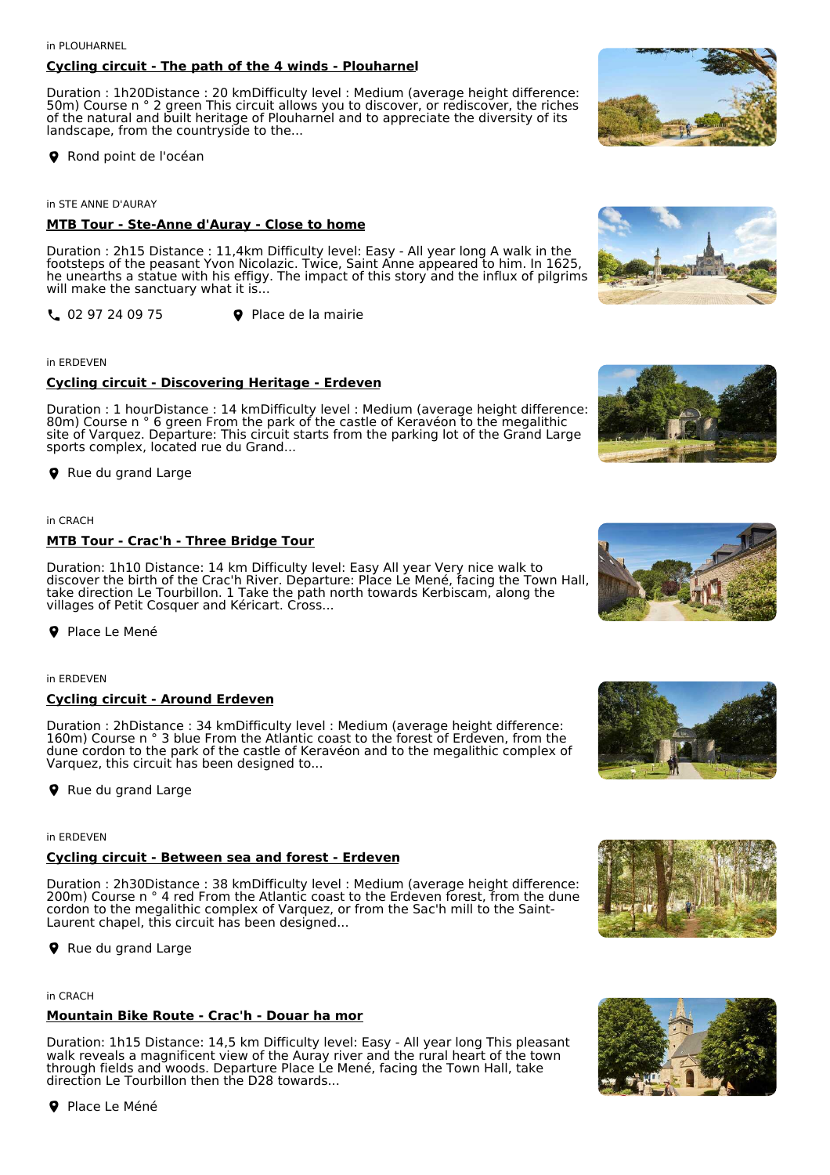#### in PLOUHARNEL

# **Cycling circuit - The path of the 4 winds - Plouharnel**

Duration : 1h20Distance : 20 kmDifficulty level : Medium (average height difference: 50m) Course n ° 2 green This circuit allows you to discover, or rediscover, the riches of the natural and built heritage of Plouharnel and to appreciate the diversity of its landscape, from the countryside to the...

Rond point de l'océan

in STE ANNE D'AURAY

# **MTB Tour - Ste-Anne d'Auray - Close to home**

Duration : 2h15 Distance : 11,4km Difficulty level: Easy - All year long A walk in the footsteps of the peasant Yvon Nicolazic. Twice, Saint Anne appeared to him. In 1625, he unearths a statue with his effigy. The impact of this story and the influx of pilgrims will make the sanctuary what it is...

02 97 24 09 75 Place de la mairie

## in ERDEVEN

# **Cycling circuit - Discovering Heritage - Erdeven**

Duration : 1 hourDistance : 14 kmDifficulty level : Medium (average height difference: 80m) Course n ° 6 green From the park of the castle of Keravéon to the megalithic site of Varquez. Departure: This circuit starts from the parking lot of the Grand Large sports complex, located rue du Grand...

**P** Rue du grand Large

## in CRACH

## **MTB Tour - Crac'h - Three Bridge Tour**

Duration: 1h10 Distance: 14 km Difficulty level: Easy All year Very nice walk to discover the birth of the Crac'h River. Departure: Place Le Mené, facing the Town Hall, take direction Le Tourbillon. 1 Take the path north towards Kerbiscam, along the villages of Petit Cosquer and Kéricart. Cross...

**P** Place Le Mené

## in ERDEVEN

## **Cycling circuit - Around Erdeven**

Duration : 2hDistance : 34 kmDifficulty level : Medium (average height difference: 160m) Course n ° 3 blue From the Atlantic coast to the forest of Erdeven, from the dune cordon to the park of the castle of Keravéon and to the megalithic complex of Varquez, this circuit has been designed to...

**P** Rue du grand Large

## in ERDEVEN

## **Cycling circuit - Between sea and forest - Erdeven**

Duration : 2h30Distance : 38 kmDifficulty level : Medium (average height difference: 200m) Course n ° 4 red From the Atlantic coast to the Erdeven forest, from the dune cordon to the megalithic complex of Varquez, or from the Sac'h mill to the Saint-Laurent chapel, this circuit has been designed...

**P** Rue du grand Large

# in CRACH

# **Mountain Bike Route - Crac'h - Douar ha mor**

Duration: 1h15 Distance: 14,5 km Difficulty level: Easy - All year long This pleasant walk reveals a magnificent view of the Auray river and the rural heart of the town through fields and woods. Departure Place Le Mené, facing the Town Hall, take direction Le Tourbillon then the D28 towards...

**P** Place Le Méné